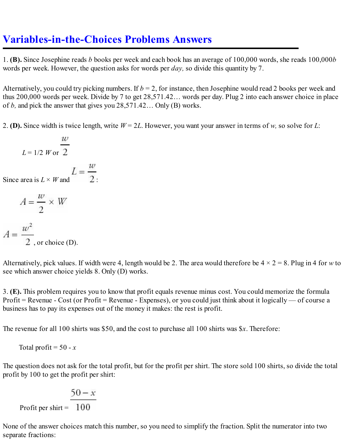## **Variables-in-the-Choices Problems Answers**

1. **(B).** Since Josephine reads *b* books per week and each book has an average of 100,000 words, she reads 100,000*b* words per week. However, the question asks for words per *day,* so divide this quantity by 7.

Alternatively, you could try picking numbers. If  $b = 2$ , for instance, then Josephine would read 2 books per week and thus 200,000 words per week. Divide by 7 to get 28,571.42… words per day. Plug 2 into each answer choice in place of *b,* and pick the answer that gives you 28,571.42… Only (B) works.

2. **(D).** Since width is twice length, write *W* = 2*L*. However, you want your answer in terms of *w,* so solve for *L*:

$$
L = 1/2 \ W \text{ or } \ \frac{w}{2}
$$

$$
L = \frac{a}{2}
$$

Since area is  $L \times W$  and

$$
A = \frac{w}{2} \times W
$$

$$
A = \frac{w^2}{2}
$$
, or choice (D).

Alternatively, pick values. If width were 4, length would be 2. The area would therefore be  $4 \times 2 = 8$ . Plug in 4 for *w* to see which answer choice yields 8. Only (D) works.

3. **(E).** This problem requires you to know that profit equals revenue minus cost. You could memorize the formula Profit = Revenue - Cost (or Profit = Revenue - Expenses), or you could just think about it logically — of course a business has to pay its expenses out of the money it makes: the rest is profit.

The revenue for all 100 shirts was \$50, and the cost to purchase all 100 shirts was \$*x*. Therefore:

Total profit =  $50 - x$ 

The question does not ask for the total profit, but for the profit per shirt. The store sold 100 shirts, so divide the total profit by 100 to get the profit per shirt:

$$
100 - x
$$
  
Profit per shirt = 100

None of the answer choices match this number, so you need to simplify the fraction. Split the numerator into two separate fractions: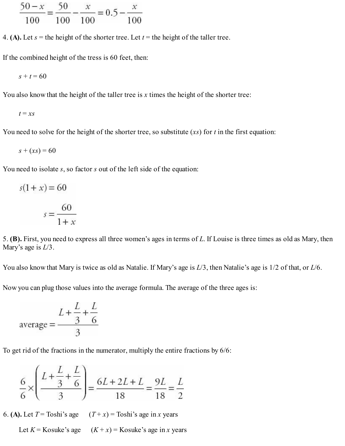$$
\frac{50 - x}{100} = \frac{50}{100} - \frac{x}{100} = 0.5 - \frac{x}{100}
$$

4. **(A).** Let  $s =$  the height of the shorter tree. Let  $t =$  the height of the taller tree.

If the combined height of the tress is 60 feet, then:

$$
s+t=60
$$

You also know that the height of the taller tree is *x* times the height of the shorter tree:

$$
t = xs
$$

You need to solve for the height of the shorter tree, so substitute (*xs*) for *t* in the first equation:

$$
s + (xs) = 60
$$

You need to isolate *s*, so factor *s* out of the left side of the equation:

$$
s(1+x) = 60
$$

$$
s = \frac{60}{1+x}
$$

5. **(B).** First, you need to express all three women's ages in terms of *L*. If Louise is three times as old as Mary, then Mary's age is *L*/3.

You also know that Mary is twice as old as Natalie. If Mary's age is *L*/3, then Natalie's age is 1/2 of that, or *L*/6.

Now you can plug those values into the average formula. The average of the three ages is:

$$
\text{average} = \frac{L + \frac{L}{3} + \frac{L}{6}}{3}
$$

To get rid of the fractions in the numerator, multiply the entire fractions by 6/6:

$$
\frac{6}{6} \times \left(\frac{L + \frac{L}{3} + \frac{L}{6}}{3}\right) = \frac{6L + 2L + L}{18} = \frac{9L}{18} = \frac{L}{2}
$$

6. **(A).** Let  $T = \text{Toshi's age}$   $(T + x) = \text{Toshi's age in } x \text{ years}$ 

Let  $K =$  Kosuke's age  $(K + x) =$  Kosuke's age in *x* years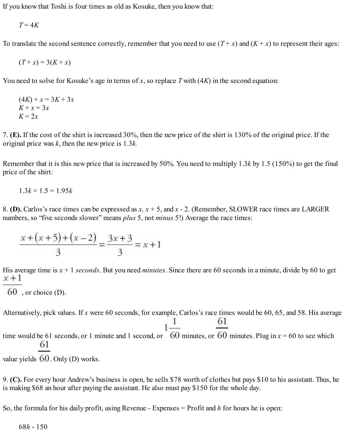If you know that Toshi is four times as old as Kosuke, then you know that:

$$
T=4K
$$

To translate the second sentence correctly, remember that you need to use  $(T + x)$  and  $(K + x)$  to represent their ages:

$$
(T+x) = 3(K+x)
$$

You need to solve for Kosuke's age in terms of *x*, so replace *T* with (4*K*) in the second equation:

$$
(4K) + x = 3K + 3x
$$
  

$$
K + x = 3x
$$
  

$$
K = 2x
$$

7. **(E).** If the cost of the shirt is increased 30%, then the new price of the shirt is 130% of the original price. If the original price was *k*, then the new price is 1.3*k.*

Remember that it is this new price that is increased by 50%. You need to multiply 1.3*k* by 1.5 (150%) to get the final price of the shirt:

$$
1.3k \times 1.5 = 1.95k
$$

8. **(D).** Carlos's race times can be expressed as *x, x* + 5, and *x* - 2. (Remember, SLOWER race times are LARGER numbers, so "five seconds slower" means *plus* 5, not *minus* 5!) Average the race times:

$$
\frac{x + (x + 5) + (x - 2)}{3} = \frac{3x + 3}{3} = x + 1
$$

His average time is *x* + 1 *seconds*. But you need *minutes*. Since there are 60 seconds in a minute, divide by 60 to get  $x+1$ 

$$
60^{\circ}
$$
, or choice (D).

Alternatively, pick values. If *x* were 60 seconds, for example, Carlos's race times would be 60, 65, and 58. His average

1 61  $1$ time would be 61 seconds, or 1 minute and 1 second, or  $\overline{60}$  minutes, or  $\overline{60}$  minutes. Plug in  $x = 60$  to see which 61

value yields  $60$ . Only (D) works.

9. **(C).** For every hour Andrew's business is open, he sells \$78 worth of clothes but pays \$10 to his assistant. Thus, he is making \$68 an hour after paying the assistant. He also must pay \$150 for the whole day.

So, the formula for his daily profit, using Revenue - Expenses = Profit and *h* for hours he is open: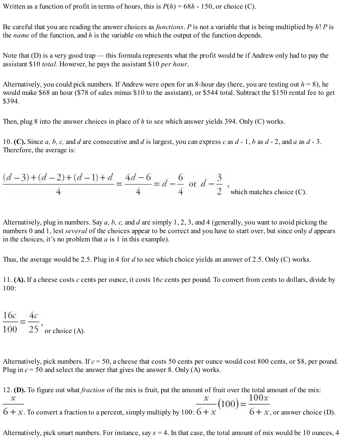Written as a function of profit in terms of hours, this is  $P(h) = 68h - 150$ , or choice (C).

Be careful that you are reading the answer choices as *functions*. *P* is not a variable that is being multiplied by *h*! *P* is the *name* of the function, and *h* is the variable on which the output of the function depends.

Note that (D) is a very good trap — this formula represents what the profit would be if Andrew only had to pay the assistant \$10 *total.* However, he pays the assistant \$10 *per hour.*

Alternatively, you could pick numbers. If Andrew were open for an 8-hour day (here, you are testing out  $h = 8$ ), he would make \$68 an hour (\$78 of sales minus \$10 to the assistant), or \$544 total. Subtract the \$150 rental fee to get \$394.

Then, plug 8 into the answer choices in place of *h* to see which answer yields 394. Only (C) works.

10. **(C).** Since  $a, b, c,$  and  $d$  are consecutive and  $d$  is largest, you can express  $c$  as  $d - 1, b$  as  $d - 2$ , and  $a$  as  $d - 3$ . Therefore, the average is:

$$
\frac{(d-3)+(d-2)+(d-1)+d}{4} = \frac{4d-6}{4} = d - \frac{6}{4}
$$
 or  $d - \frac{3}{2}$ , which matches choice (C).

Alternatively, plug in numbers. Say *a, b, c,* and *d* are simply 1, 2, 3, and 4 (generally, you want to avoid picking the numbers 0 and 1, lest *several* of the choices appear to be correct and you have to start over, but since only *d* appears in the choices, it's no problem that *a* is 1 in this example).

Thus, the average would be 2.5. Plug in 4 for *d* to see which choice yields an answer of 2.5. Only (C) works.

11. **(A).** If a cheese costs *c* cents per ounce, it costs 16*c* cents per pound. To convert from cents to dollars, divide by 100:

 $\frac{16c}{100} = \frac{4c}{25}$ , or choice (A).

Alternatively, pick numbers. If  $c = 50$ , a cheese that costs 50 cents per ounce would cost 800 cents, or \$8, per pound. Plug in *c* = 50 and select the answer that gives the answer 8. Only (A) works.

12. **(D).** To figure out what *fraction* of the mix is fruit, put the amount of fruit over the total amount of the mix:  $\frac{x}{6+x}$ . To convert a fraction to a percent, simply multiply by 100:  $\frac{x}{6+x}$  (100) =  $\frac{100x}{6+x}$ , or answer choice (D).

Alternatively, pick smart numbers. For instance, say  $x = 4$ . In that case, the total amount of mix would be 10 ounces, 4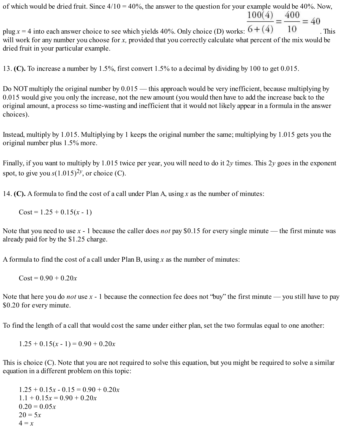of which would be dried fruit. Since  $4/10 = 40\%$ , the answer to the question for your example would be 40%. Now,<br> $\frac{100(4)}{2} = \frac{400}{100} = 40$ 

plug  $x = 4$  into each answer choice to see which yields 40%. Only choice (D) works:  $6 + (4)$  10 This will work for any number you choose for *x*, provided that you correctly calculate what percent of the mix would be dried fruit in your particular example.

13. **(C).** To increase a number by 1.5%, first convert 1.5% to a decimal by dividing by 100 to get 0.015.

Do NOT multiply the original number by  $0.015$  — this approach would be very inefficient, because multiplying by 0.015 would give you only the increase, not the new amount (you would then have to add the increase back to the original amount, a process so time-wasting and inefficient that it would not likely appear in a formula in the answer choices).

Instead, multiply by 1.015. Multiplying by 1 keeps the original number the same; multiplying by 1.015 gets you the original number plus 1.5% more.

Finally, if you want to multiply by 1.015 twice per year, you will need to do it 2*y* times. This 2*y* goes in the exponent spot, to give you  $s(1.015)^{2y}$ , or choice (C).

14. **(C).** A formula to find the cost of a call under Plan A, using *x* as the number of minutes:

 $Cost = 1.25 + 0.15(x - 1)$ 

Note that you need to use *x* - 1 because the caller does *not* pay \$0.15 for every single minute — the first minute was already paid for by the \$1.25 charge.

A formula to find the cost of a call under Plan B, using *x* as the number of minutes:

 $Cost = 0.90 + 0.20x$ 

Note that here you do *not* use *x* - 1 because the connection fee does not "buy" the first minute — you still have to pay \$0.20 for every minute.

To find the length of a call that would cost the same under either plan, set the two formulas equal to one another:

 $1.25 + 0.15(x - 1) = 0.90 + 0.20x$ 

This is choice (C). Note that you are not required to solve this equation, but you might be required to solve a similar equation in a different problem on this topic:

 $1.25 + 0.15x - 0.15 = 0.90 + 0.20x$  $1.1 + 0.15x = 0.90 + 0.20x$  $0.20 = 0.05x$  $20 = 5x$  $4 = x$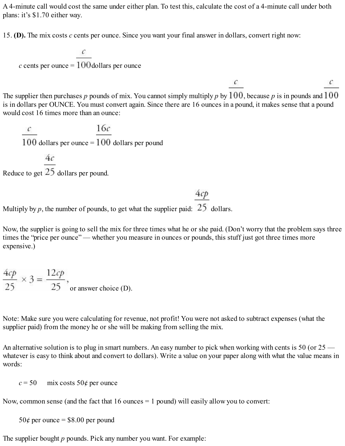A 4-minute call would cost the same under either plan. To test this, calculate the cost of a 4-minute call under both plans: it's \$1.70 either way.

15. **(D).** The mix costs *c* cents per ounce. Since you want your final answer in dollars, convert right now:

$$
c
$$
 cents per ounce =  $\frac{c}{100}$ dollars per ounce

The supplier then purchases  $p$  pounds of mix. You cannot simply multiply  $p$  by  $100$ , because  $p$  is in pounds and  $100$ is in dollars per OUNCE. You must convert again. Since there are 16 ounces in a pound, it makes sense that a pound would cost 16 times more than an ounce:

 $\mathcal{C}$ 

 $\mathcal{C}$ 

 $\frac{c}{100}$  dollars per ounce =  $\frac{16c}{100}$  dollars per pound

 $4c$ 

Reduce to get  $25$  dollars per pound.

Multiply by *p*, the number of pounds, to get what the supplier paid:  $25$  dollars.

Now, the supplier is going to sell the mix for three times what he or she paid. (Don't worry that the problem says three times the "price per ounce" — whether you measure in ounces or pounds, this stuff just got three times more expensive.)

 $4cp$ 

$$
\frac{4cp}{25} \times 3 = \frac{12cp}{25}
$$
, or answer choice (D).

Note: Make sure you were calculating for revenue, not profit! You were not asked to subtract expenses (what the supplier paid) from the money he or she will be making from selling the mix.

An alternative solution is to plug in smart numbers. An easy number to pick when working with cents is 50 (or 25 whatever is easy to think about and convert to dollars). Write a value on your paper along with what the value means in words:

 $c = 50$  mix costs 50¢ per ounce

Now, common sense (and the fact that  $16$  ounces  $= 1$  pound) will easily allow you to convert:

 $50¢$  per ounce = \$8.00 per pound

The supplier bought *p* pounds. Pick any number you want. For example: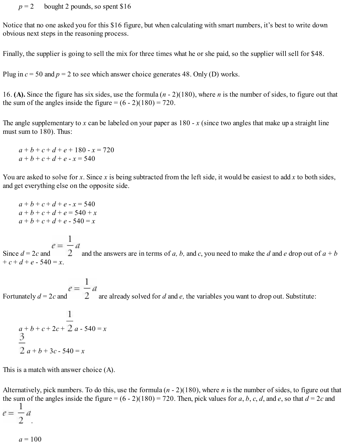$p = 2$  bought 2 pounds, so spent \$16

Notice that no one asked you for this \$16 figure, but when calculating with smart numbers, it's best to write down obvious next steps in the reasoning process.

Finally, the supplier is going to sell the mix for three times what he or she paid, so the supplier will sell for \$48.

Plug in  $c = 50$  and  $p = 2$  to see which answer choice generates 48. Only (D) works.

16. **(A).** Since the figure has six sides, use the formula (*n* - 2)(180), where *n* is the number of sides, to figure out that the sum of the angles inside the figure  $= (6 - 2)(180) = 720$ .

The angle supplementary to x can be labeled on your paper as  $180 - x$  (since two angles that make up a straight line must sum to 180). Thus:

 $a + b + c + d + e + 180 - x = 720$  $a + b + c + d + e - x = 540$ 

You are asked to solve for *x*. Since *x* is being subtracted from the left side, it would be easiest to add *x* to both sides, and get everything else on the opposite side.

 $a + b + c + d + e - x = 540$  $a + b + c + d + e = 540 + x$  $a + b + c + d + e - 540 = x$ 

Since  $d = 2c$  and  $e = \frac{1}{2}d$  and the answers are in terms of *a*, *b*, and *c*, you need to make the *d* and *e* drop out of  $a + b$  $+ c + d + e - 540 = x$ .

Fortunately  $d = 2c$  and  $e = \frac{1}{2}a$  are already solved for *d* and *e*, the variables you want to drop out. Substitute:

$$
\frac{1}{a+b+c+2c+2} \cdot a - 540 = x
$$
  

$$
\frac{3}{2} \cdot a + b + 3c - 540 = x
$$

This is a match with answer choice (A).

Alternatively, pick numbers. To do this, use the formula (*n* - 2)(180), where *n* is the number of sides, to figure out that the sum of the angles inside the figure =  $(6 - 2)(180) = 720$ . Then, pick values for *a*, *b*, *c*, *d*, and *e*, so that  $d = 2c$  and

$$
e = \frac{1}{2}a
$$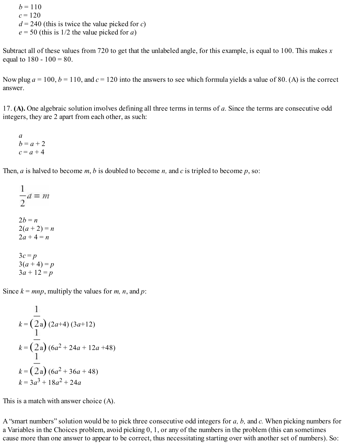$b = 110$  $c = 120$  $d = 240$  (this is twice the value picked for *c*)  $e = 50$  (this is 1/2 the value picked for *a*)

Subtract all of these values from 720 to get that the unlabeled angle, for this example, is equal to 100. This makes *x* equal to  $180 - 100 = 80$ .

Now plug  $a = 100$ ,  $b = 110$ , and  $c = 120$  into the answers to see which formula yields a value of 80. (A) is the correct answer.

17. **(A).** One algebraic solution involves defining all three terms in terms of *a.* Since the terms are consecutive odd integers, they are 2 apart from each other, as such:

*a*  $b = a + 2$  $c = a + 4$ 

Then, *a* is halved to become *m*, *b* is doubled to become *n,* and *c* is tripled to become *p*, so:

 $\frac{1}{2}a = m$  $2b = n$  $2(a + 2) = n$  $2a + 4 = n$  $3c = p$  $3(a + 4) = p$  $3a + 12 = p$ 

Since  $k = mnp$ , multiply the values for *m*, *n*, and *p*:

$$
k = \frac{1}{2a} (2a+4) (3a+12)
$$
  
\n
$$
k = \frac{1}{2a} (6a^2 + 24a + 12a + 48)
$$
  
\n
$$
k = \frac{1}{2a} (6a^2 + 36a + 48)
$$
  
\n
$$
k = 3a^3 + 18a^2 + 24a
$$

This is a match with answer choice (A).

A "smart numbers" solution would be to pick three consecutive odd integers for *a, b,* and *c.* When picking numbers for a Variables in the Choices problem, avoid picking 0, 1, or any of the numbers in the problem (this can sometimes cause more than one answer to appear to be correct, thus necessitating starting over with another set of numbers). So: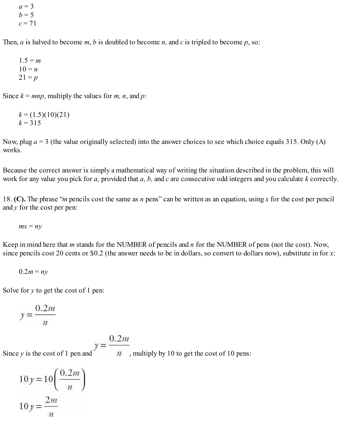$a = 3$  $b = 5$  $c = 71$ 

Then, *a* is halved to become *m*, *b* is doubled to become *n,* and *c* is tripled to become *p*, so:

 $1.5 = m$  $10 = n$  $21 = p$ 

Since  $k = mnp$ , multiply the values for *m*, *n*, and *p*:

 $k = (1.5)(10)(21)$  $k = 315$ 

Now, plug  $a = 3$  (the value originally selected) into the answer choices to see which choice equals 315. Only (A) works.

Because the correct answer is simply a mathematical way of writing the situation described in the problem, this will work for any value you pick for *a,* provided that *a, b,* and *c* are consecutive odd integers and you calculate *k* correctly.

18. **(C).** The phrase "*m* pencils cost the same as *n* pens" can be written as an equation, using *x* for the cost per pencil and *y* for the cost per pen:

 $mx = ny$ 

Keep in mind here that *m* stands for the NUMBER of pencils and *n* for the NUMBER of pens (not the cost). Now, since pencils cost 20 cents or \$0.2 (the answer needs to be in dollars, so convert to dollars now), substitute in for *x*:

$$
0.2m = ny
$$

Solve for *y* to get the cost of 1 pen:

$$
y = \frac{0.2m}{n}
$$

$$
= 0.2m
$$

Since *y* is the cost of 1 pen and  $y = \frac{y}{n}$ , multiply by 10 to get the cost of 10 pens:

$$
10 y = 10 \left( \frac{0.2 m}{n} \right)
$$
  

$$
10 y = \frac{2m}{n}
$$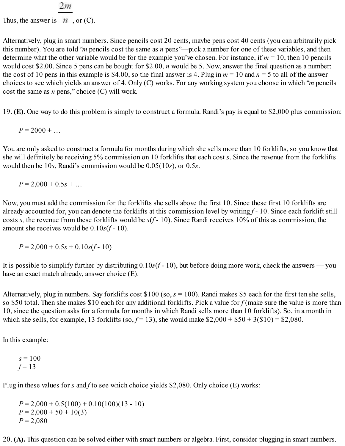## $2m$

Thus, the answer is  $\pi$ , or (C).

Alternatively, plug in smart numbers. Since pencils cost 20 cents, maybe pens cost 40 cents (you can arbitrarily pick this number). You are told "*m* pencils cost the same as *n* pens"—pick a number for one of these variables, and then determine what the other variable would be for the example you've chosen. For instance, if *m* = 10, then 10 pencils would cost \$2.00. Since 5 pens can be bought for \$2.00, *n* would be 5. Now, answer the final question as a number: the cost of 10 pens in this example is \$4.00, so the final answer is 4. Plug in  $m = 10$  and  $n = 5$  to all of the answer choices to see which yields an answer of 4. Only (C) works. For any working system you choose in which "*m* pencils cost the same as *n* pens," choice (C) will work.

19. **(E).** One way to do this problem is simply to construct a formula. Randi's pay is equal to \$2,000 plus commission:

 $P = 2000 + ...$ 

You are only asked to construct a formula for months during which she sells more than 10 forklifts, so you know that she will definitely be receiving 5% commission on 10 forklifts that each cost *s*. Since the revenue from the forklifts would then be 10*s*, Randi's commission would be 0.05(10*s*), or 0.5*s*.

 $P = 2.000 + 0.5s + ...$ 

Now, you must add the commission for the forklifts she sells above the first 10. Since these first 10 forklifts are already accounted for, you can denote the forklifts at this commission level by writing *f* - 10. Since each forklift still costs *s,* the revenue from these forklifts would be *s*(*f* - 10). Since Randi receives 10% of this as commission, the amount she receives would be 0.10*s*(*f* - 10).

$$
P = 2,000 + 0.5s + 0.10s(f - 10)
$$

It is possible to simplify further by distributing 0.10*s*(*f* - 10), but before doing more work, check the answers — you have an exact match already, answer choice (E).

Alternatively, plug in numbers. Say forklifts cost \$100 (so, *s* = 100). Randi makes \$5 each for the first ten she sells, so \$50 total. Then she makes \$10 each for any additional forklifts. Pick a value for *f* (make sure the value is more than 10, since the question asks for a formula for months in which Randi sells more than 10 forklifts). So, in a month in which she sells, for example, 13 forklifts (so,  $f = 13$ ), she would make  $$2,000 + $50 + 3 ($10) = $2,080$ .

In this example:

 $s = 100$  $f = 13$ 

Plug in these values for *s* and *f* to see which choice yields \$2,080. Only choice (E) works:

 $P = 2,000 + 0.5(100) + 0.10(100)(13 - 10)$  $P = 2,000 + 50 + 10(3)$  $P = 2,080$ 

20. **(A).** This question can be solved either with smart numbers or algebra. First, consider plugging in smart numbers.